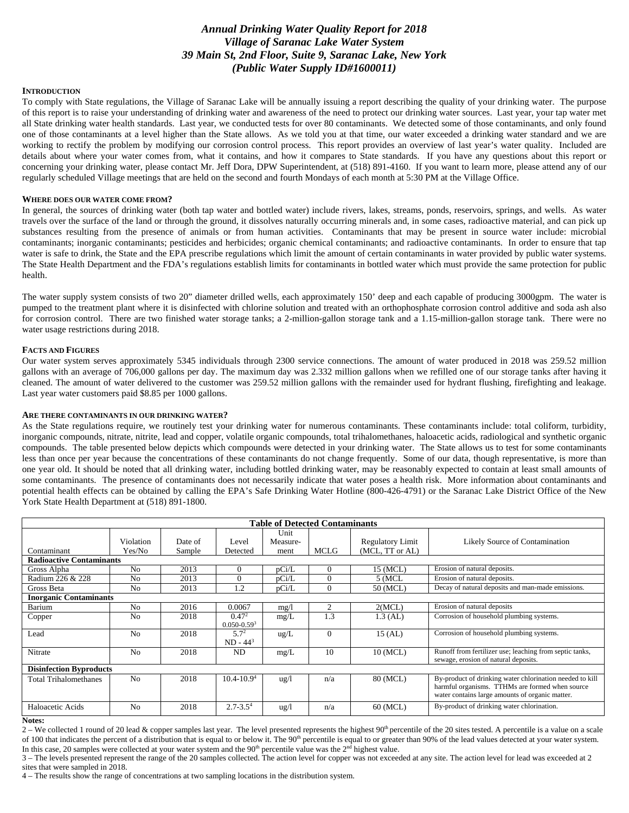# *Annual Drinking Water Quality Report for 2018 Village of Saranac Lake Water System 39 Main St, 2nd Floor, Suite 9, Saranac Lake, New York (Public Water Supply ID#1600011)*

#### **INTRODUCTION**

To comply with State regulations, the Village of Saranac Lake will be annually issuing a report describing the quality of your drinking water. The purpose of this report is to raise your understanding of drinking water and awareness of the need to protect our drinking water sources. Last year, your tap water met all State drinking water health standards. Last year, we conducted tests for over 80 contaminants. We detected some of those contaminants, and only found one of those contaminants at a level higher than the State allows. As we told you at that time, our water exceeded a drinking water standard and we are working to rectify the problem by modifying our corrosion control process. This report provides an overview of last year's water quality. Included are details about where your water comes from, what it contains, and how it compares to State standards. If you have any questions about this report or concerning your drinking water, please contact Mr. Jeff Dora, DPW Superintendent, at (518) 891-4160. If you want to learn more, please attend any of our regularly scheduled Village meetings that are held on the second and fourth Mondays of each month at 5:30 PM at the Village Office.

#### **WHERE DOES OUR WATER COME FROM?**

In general, the sources of drinking water (both tap water and bottled water) include rivers, lakes, streams, ponds, reservoirs, springs, and wells. As water travels over the surface of the land or through the ground, it dissolves naturally occurring minerals and, in some cases, radioactive material, and can pick up substances resulting from the presence of animals or from human activities. Contaminants that may be present in source water include: microbial contaminants; inorganic contaminants; pesticides and herbicides; organic chemical contaminants; and radioactive contaminants. In order to ensure that tap water is safe to drink, the State and the EPA prescribe regulations which limit the amount of certain contaminants in water provided by public water systems. The State Health Department and the FDA's regulations establish limits for contaminants in bottled water which must provide the same protection for public health.

The water supply system consists of two 20" diameter drilled wells, each approximately 150' deep and each capable of producing 3000gpm. The water is pumped to the treatment plant where it is disinfected with chlorine solution and treated with an orthophosphate corrosion control additive and soda ash also for corrosion control. There are two finished water storage tanks; a 2-million-gallon storage tank and a 1.15-million-gallon storage tank. There were no water usage restrictions during 2018.

#### **FACTS AND FIGURES**

Our water system serves approximately 5345 individuals through 2300 service connections. The amount of water produced in 2018 was 259.52 million gallons with an average of 706,000 gallons per day. The maximum day was 2.332 million gallons when we refilled one of our storage tanks after having it cleaned. The amount of water delivered to the customer was 259.52 million gallons with the remainder used for hydrant flushing, firefighting and leakage. Last year water customers paid \$8.85 per 1000 gallons.

#### **ARE THERE CONTAMINANTS IN OUR DRINKING WATER?**

As the State regulations require, we routinely test your drinking water for numerous contaminants. These contaminants include: total coliform, turbidity, inorganic compounds, nitrate, nitrite, lead and copper, volatile organic compounds, total trihalomethanes, haloacetic acids, radiological and synthetic organic compounds. The table presented below depicts which compounds were detected in your drinking water. The State allows us to test for some contaminants less than once per year because the concentrations of these contaminants do not change frequently. Some of our data, though representative, is more than one year old. It should be noted that all drinking water, including bottled drinking water, may be reasonably expected to contain at least small amounts of some contaminants. The presence of contaminants does not necessarily indicate that water poses a health risk. More information about contaminants and potential health effects can be obtained by calling the EPA's Safe Drinking Water Hotline (800-426-4791) or the Saranac Lake District Office of the New York State Health Department at (518) 891-1800.

| <b>Table of Detected Contaminants</b>                                                                                    |                |         |                               |                  |          |                         |                                                                                                                                                                |
|--------------------------------------------------------------------------------------------------------------------------|----------------|---------|-------------------------------|------------------|----------|-------------------------|----------------------------------------------------------------------------------------------------------------------------------------------------------------|
|                                                                                                                          | Violation      | Date of | Level                         | Unit<br>Measure- |          | <b>Regulatory Limit</b> | <b>Likely Source of Contamination</b>                                                                                                                          |
| (MCL, TT or AL)<br>Yes/No<br><b>MCLG</b><br>Detected<br>Contaminant<br>Sample<br>ment<br><b>Radioactive Contaminants</b> |                |         |                               |                  |          |                         |                                                                                                                                                                |
|                                                                                                                          |                | 2013    |                               |                  |          |                         | Erosion of natural deposits.                                                                                                                                   |
| Gross Alpha                                                                                                              | N <sub>0</sub> |         | $\Omega$                      | pCi/L            | $\Omega$ | 15 (MCL)                |                                                                                                                                                                |
| Radium 226 & 228                                                                                                         | N <sub>0</sub> | 2013    | $\Omega$                      | pCi/L            | $\Omega$ | $5$ (MCL                | Erosion of natural deposits.                                                                                                                                   |
| Gross Beta                                                                                                               | N <sub>0</sub> | 2013    | 1.2                           | pCi/L            | $\Omega$ | 50 (MCL)                | Decay of natural deposits and man-made emissions.                                                                                                              |
| <b>Inorganic Contaminants</b>                                                                                            |                |         |                               |                  |          |                         |                                                                                                                                                                |
| Barium                                                                                                                   | N <sub>0</sub> | 2016    | 0.0067                        | mg/l             |          | 2(MCL)                  | Erosion of natural deposits                                                                                                                                    |
| Copper                                                                                                                   | N <sub>0</sub> | 2018    | $0.47^{2}$<br>$0.050 - 0.593$ | mg/L             | 1.3      | $1.3$ (AL)              | Corrosion of household plumbing systems.                                                                                                                       |
| Lead                                                                                                                     | N <sub>0</sub> | 2018    | $5.7^{2}$<br>$ND - 443$       | $\text{ug/L}$    | $\Omega$ | $15$ (AL)               | Corrosion of household plumbing systems.                                                                                                                       |
| Nitrate                                                                                                                  | N <sub>0</sub> | 2018    | ND                            | mg/L             | 10       | 10 (MCL)                | Runoff from fertilizer use; leaching from septic tanks,<br>sewage, erosion of natural deposits.                                                                |
| <b>Disinfection Byproducts</b>                                                                                           |                |         |                               |                  |          |                         |                                                                                                                                                                |
| <b>Total Trihalomethanes</b>                                                                                             | N <sub>0</sub> | 2018    | $10.4 - 10.94$                | $\frac{u g}{l}$  | n/a      | 80 (MCL)                | By-product of drinking water chlorination needed to kill<br>harmful organisms. TTHMs are formed when source<br>water contains large amounts of organic matter. |
| Haloacetic Acids                                                                                                         | N <sub>0</sub> | 2018    | $2.7 - 3.54$                  | ug/l             | n/a      | 60 (MCL)                | By-product of drinking water chlorination.                                                                                                                     |

#### **Notes:**

 $2 -$  We collected 1 round of 20 lead & copper samples last year. The level presented represents the highest  $90<sup>th</sup>$  percentile of the 20 sites tested. A percentile is a value on a scale of 100 that indicates the percent of a distribution that is equal to or below it. The 90<sup>th</sup> percentile is equal to or greater than 90% of the lead values detected at your water system. In this case, 20 samples were collected at your water system and the  $90<sup>th</sup>$  percentile value was the  $2<sup>nd</sup>$  highest value.

3 – The levels presented represent the range of the 20 samples collected. The action level for copper was not exceeded at any site. The action level for lead was exceeded at 2 sites that were sampled in 2018.

4 – The results show the range of concentrations at two sampling locations in the distribution system.